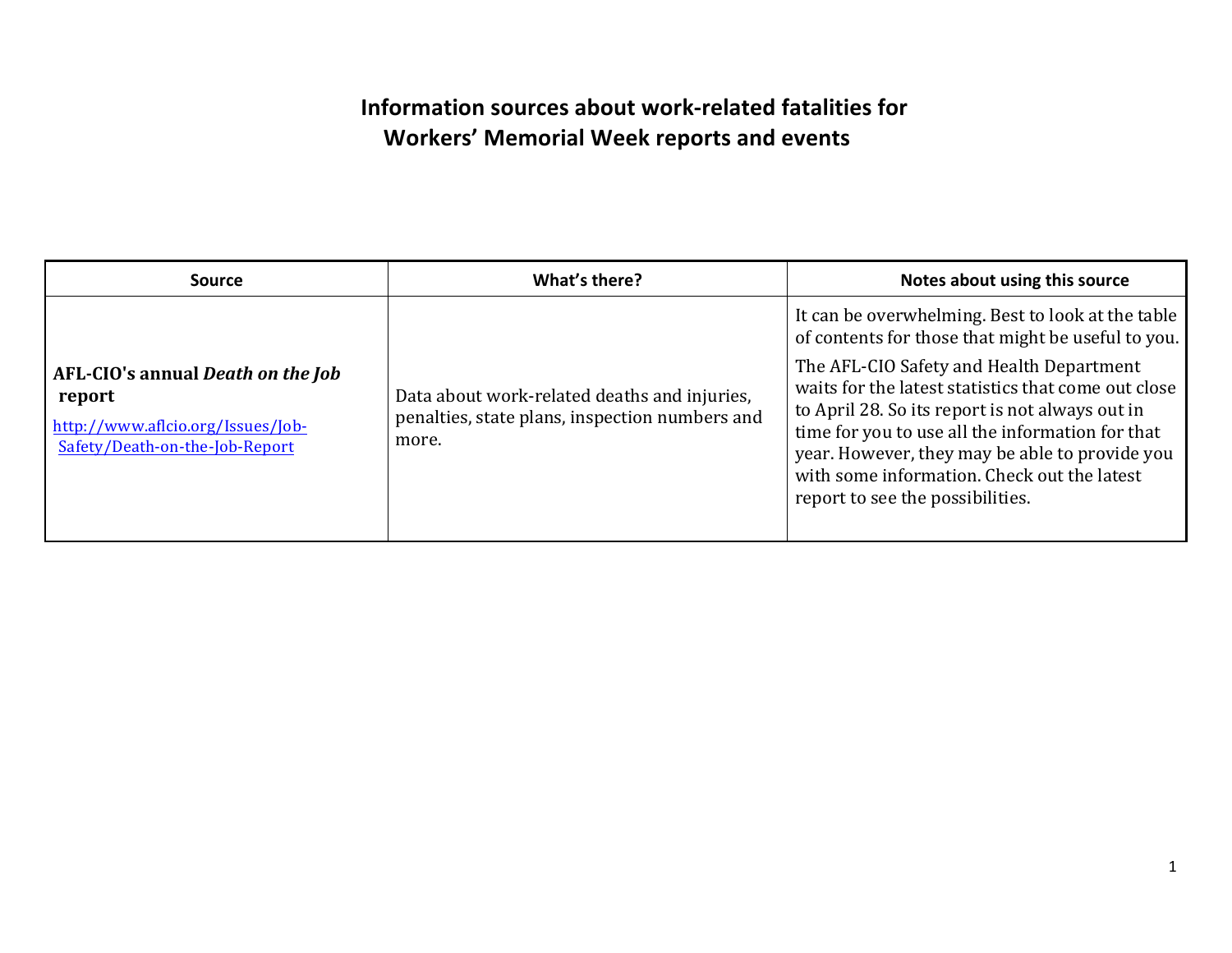## Information sources about work-related fatalities for **Workers' Memorial Week reports and events**

| <b>Source</b>                                                                                                             | What's there?                                                                                           | Notes about using this source                                                                                                                                                                                                                                                                                                                                                                                                                          |
|---------------------------------------------------------------------------------------------------------------------------|---------------------------------------------------------------------------------------------------------|--------------------------------------------------------------------------------------------------------------------------------------------------------------------------------------------------------------------------------------------------------------------------------------------------------------------------------------------------------------------------------------------------------------------------------------------------------|
| AFL-CIO's annual <i>Death on the Job</i><br>report<br>http://www.aflcio.org/Issues/Job-<br>Safety/Death-on-the-Job-Report | Data about work-related deaths and injuries,<br>penalties, state plans, inspection numbers and<br>more. | It can be overwhelming. Best to look at the table<br>of contents for those that might be useful to you.<br>The AFL-CIO Safety and Health Department<br>waits for the latest statistics that come out close<br>to April 28. So its report is not always out in<br>time for you to use all the information for that<br>year. However, they may be able to provide you<br>with some information. Check out the latest<br>report to see the possibilities. |
|                                                                                                                           |                                                                                                         |                                                                                                                                                                                                                                                                                                                                                                                                                                                        |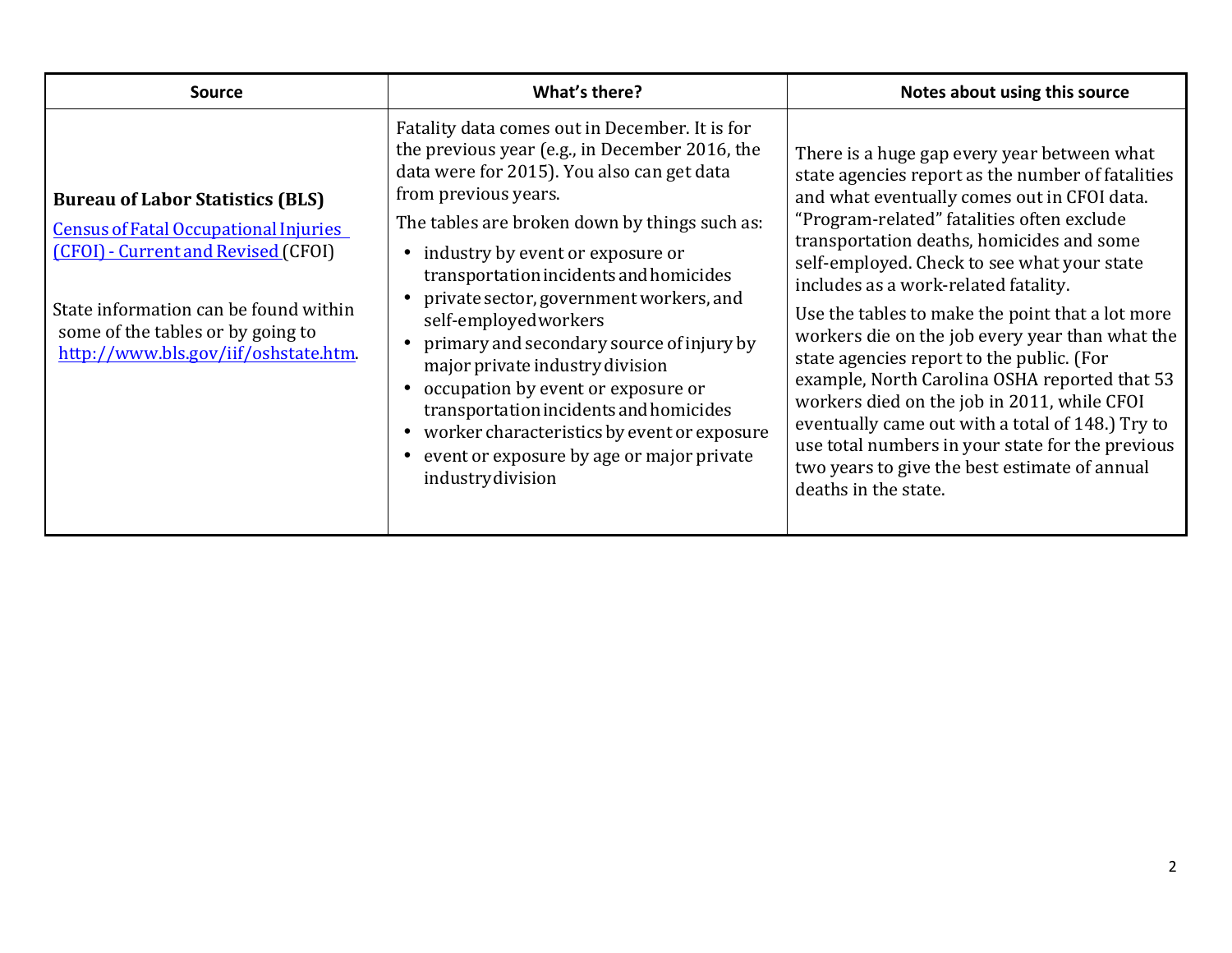| <b>Source</b>                                                                                                                                                                                                                                        | What's there?                                                                                                                                                                                                                                                                                                                                                                                                                                                                                                                                                                                                                                             | Notes about using this source                                                                                                                                                                                                                                                                                                                                                                                                                                                                                                                                                                                                                                                                                                                                          |
|------------------------------------------------------------------------------------------------------------------------------------------------------------------------------------------------------------------------------------------------------|-----------------------------------------------------------------------------------------------------------------------------------------------------------------------------------------------------------------------------------------------------------------------------------------------------------------------------------------------------------------------------------------------------------------------------------------------------------------------------------------------------------------------------------------------------------------------------------------------------------------------------------------------------------|------------------------------------------------------------------------------------------------------------------------------------------------------------------------------------------------------------------------------------------------------------------------------------------------------------------------------------------------------------------------------------------------------------------------------------------------------------------------------------------------------------------------------------------------------------------------------------------------------------------------------------------------------------------------------------------------------------------------------------------------------------------------|
| <b>Bureau of Labor Statistics (BLS)</b><br><b>Census of Fatal Occupational Injuries</b><br>(CFOI) - Current and Revised (CFOI)<br>State information can be found within<br>some of the tables or by going to<br>http://www.bls.gov/iif/oshstate.htm. | Fatality data comes out in December. It is for<br>the previous year (e.g., in December 2016, the<br>data were for 2015). You also can get data<br>from previous years.<br>The tables are broken down by things such as:<br>industry by event or exposure or<br>transportation incidents and homicides<br>private sector, government workers, and<br>self-employedworkers<br>primary and secondary source of injury by<br>major private industry division<br>occupation by event or exposure or<br>transportation incidents and homicides<br>worker characteristics by event or exposure<br>event or exposure by age or major private<br>industry division | There is a huge gap every year between what<br>state agencies report as the number of fatalities<br>and what eventually comes out in CFOI data.<br>"Program-related" fatalities often exclude<br>transportation deaths, homicides and some<br>self-employed. Check to see what your state<br>includes as a work-related fatality.<br>Use the tables to make the point that a lot more<br>workers die on the job every year than what the<br>state agencies report to the public. (For<br>example, North Carolina OSHA reported that 53<br>workers died on the job in 2011, while CFOI<br>eventually came out with a total of 148.) Try to<br>use total numbers in your state for the previous<br>two years to give the best estimate of annual<br>deaths in the state. |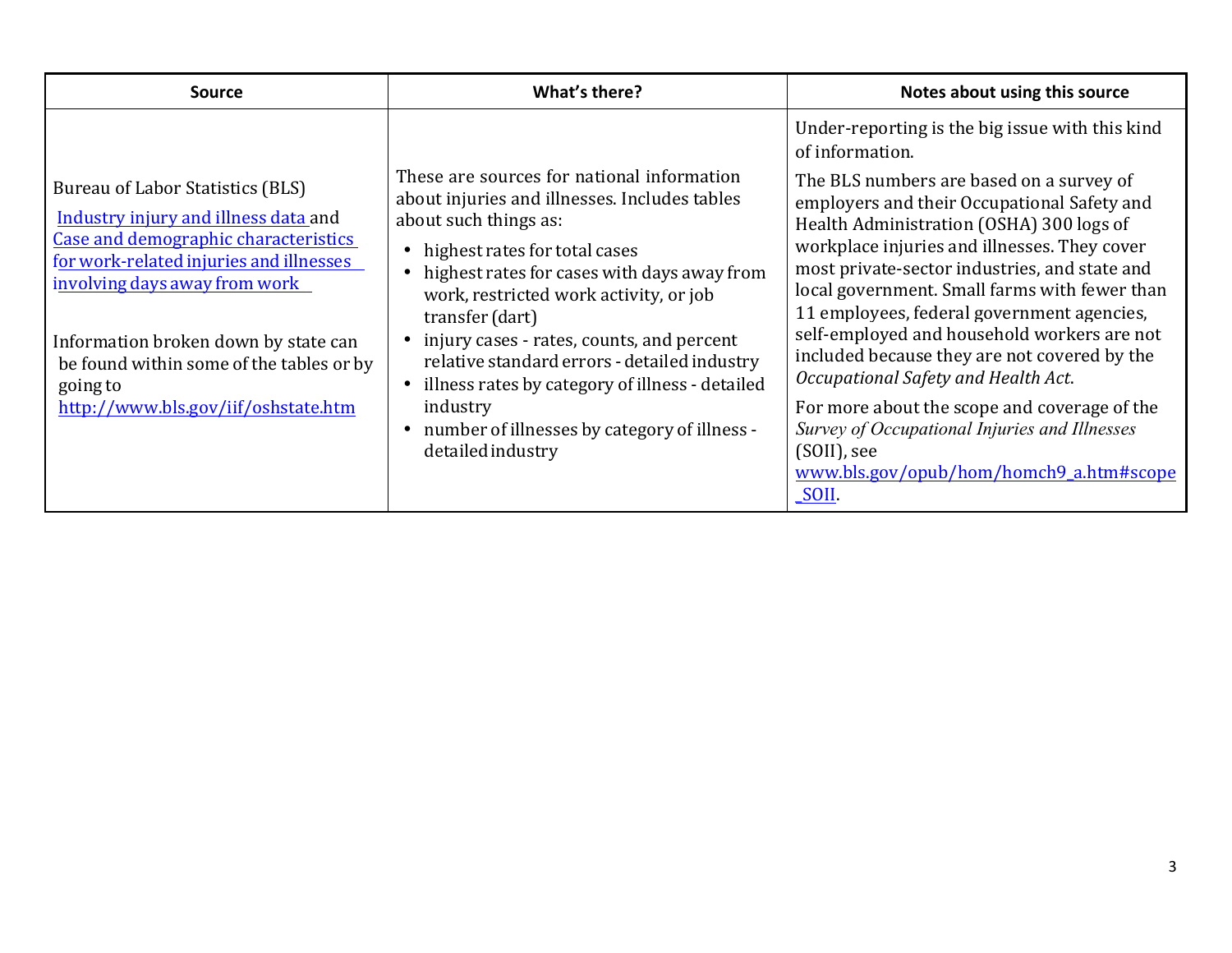| <b>Source</b>                                                                                                                                                                                                                                                                                                                       | What's there?                                                                                                                                                                                                                                                                                                                                                                                                                                                                                            | Notes about using this source                                                                                                                                                                                                                                                                                                                                                                                                                                                                                                                                                                                                                                                                                       |
|-------------------------------------------------------------------------------------------------------------------------------------------------------------------------------------------------------------------------------------------------------------------------------------------------------------------------------------|----------------------------------------------------------------------------------------------------------------------------------------------------------------------------------------------------------------------------------------------------------------------------------------------------------------------------------------------------------------------------------------------------------------------------------------------------------------------------------------------------------|---------------------------------------------------------------------------------------------------------------------------------------------------------------------------------------------------------------------------------------------------------------------------------------------------------------------------------------------------------------------------------------------------------------------------------------------------------------------------------------------------------------------------------------------------------------------------------------------------------------------------------------------------------------------------------------------------------------------|
| Bureau of Labor Statistics (BLS)<br>Industry injury and illness data and<br>Case and demographic characteristics<br>for work-related injuries and illnesses<br>involving days away from work<br>Information broken down by state can<br>be found within some of the tables or by<br>going to<br>http://www.bls.gov/iif/oshstate.htm | These are sources for national information<br>about injuries and illnesses. Includes tables<br>about such things as:<br>• highest rates for total cases<br>• highest rates for cases with days away from<br>work, restricted work activity, or job<br>transfer (dart)<br>injury cases - rates, counts, and percent<br>relative standard errors - detailed industry<br>• illness rates by category of illness - detailed<br>industry<br>number of illnesses by category of illness -<br>detailed industry | Under-reporting is the big issue with this kind<br>of information.<br>The BLS numbers are based on a survey of<br>employers and their Occupational Safety and<br>Health Administration (OSHA) 300 logs of<br>workplace injuries and illnesses. They cover<br>most private-sector industries, and state and<br>local government. Small farms with fewer than<br>11 employees, federal government agencies,<br>self-employed and household workers are not<br>included because they are not covered by the<br>Occupational Safety and Health Act.<br>For more about the scope and coverage of the<br>Survey of Occupational Injuries and Illnesses<br>(SOII), see<br>www.bls.gov/opub/hom/homch9_a.htm#scope<br>SOII. |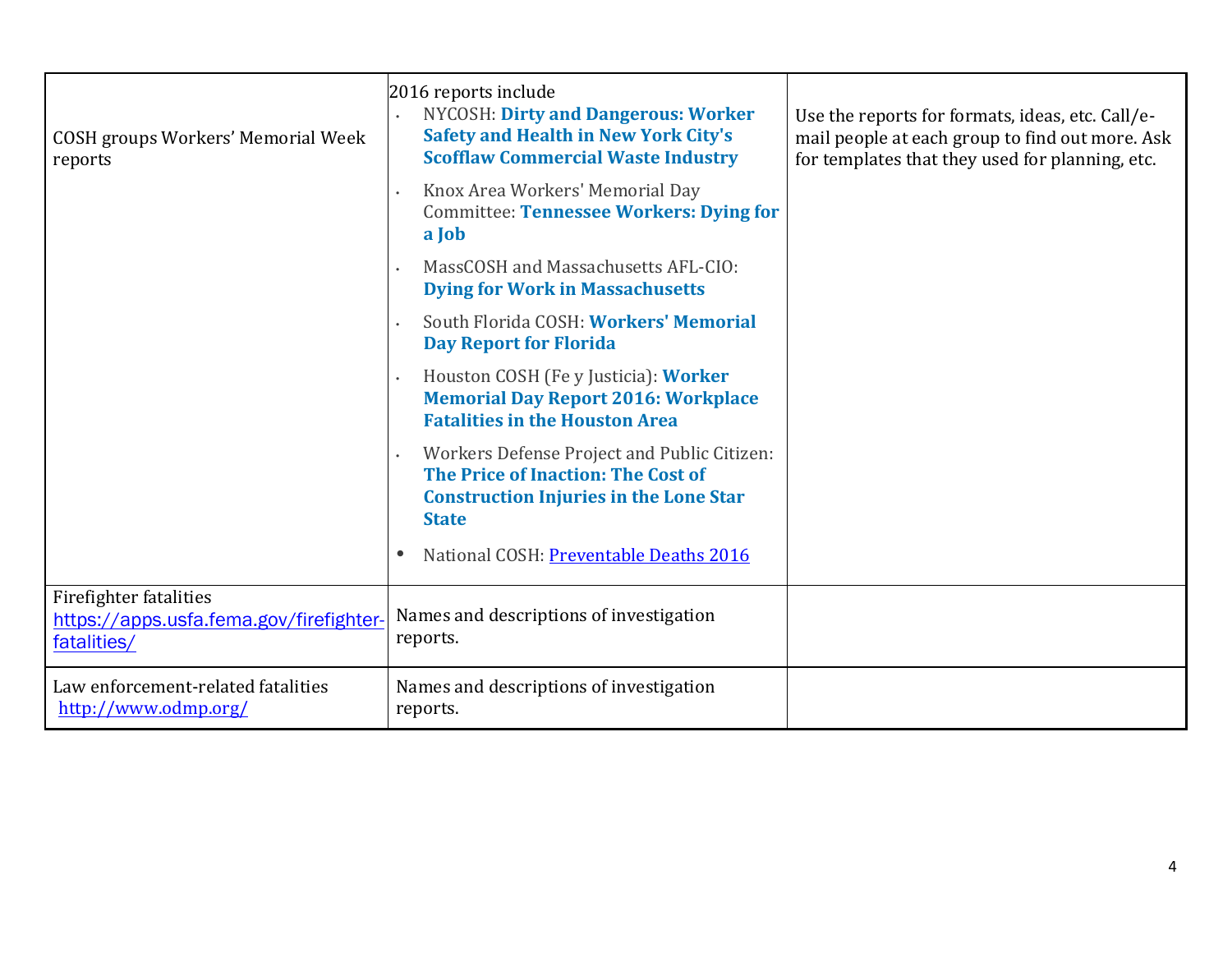| <b>COSH groups Workers' Memorial Week</b><br>reports                             | 2016 reports include<br>NYCOSH: Dirty and Dangerous: Worker<br><b>Safety and Health in New York City's</b><br><b>Scofflaw Commercial Waste Industry</b>                                      | Use the reports for formats, ideas, etc. Call/e-<br>mail people at each group to find out more. Ask<br>for templates that they used for planning, etc. |
|----------------------------------------------------------------------------------|----------------------------------------------------------------------------------------------------------------------------------------------------------------------------------------------|--------------------------------------------------------------------------------------------------------------------------------------------------------|
|                                                                                  | Knox Area Workers' Memorial Day<br><b>Committee: Tennessee Workers: Dying for</b><br>a Job                                                                                                   |                                                                                                                                                        |
|                                                                                  | MassCOSH and Massachusetts AFL-CIO:<br><b>Dying for Work in Massachusetts</b>                                                                                                                |                                                                                                                                                        |
|                                                                                  | South Florida COSH: Workers' Memorial<br><b>Day Report for Florida</b>                                                                                                                       |                                                                                                                                                        |
|                                                                                  | Houston COSH (Fe y Justicia): Worker<br><b>Memorial Day Report 2016: Workplace</b><br><b>Fatalities in the Houston Area</b>                                                                  |                                                                                                                                                        |
|                                                                                  | Workers Defense Project and Public Citizen:<br>The Price of Inaction: The Cost of<br><b>Construction Injuries in the Lone Star</b><br><b>State</b><br>National COSH: Preventable Deaths 2016 |                                                                                                                                                        |
| Firefighter fatalities<br>https://apps.usfa.fema.gov/firefighter-<br>fatalities/ | Names and descriptions of investigation<br>reports.                                                                                                                                          |                                                                                                                                                        |
| Law enforcement-related fatalities<br>http://www.odmp.org/                       | Names and descriptions of investigation<br>reports.                                                                                                                                          |                                                                                                                                                        |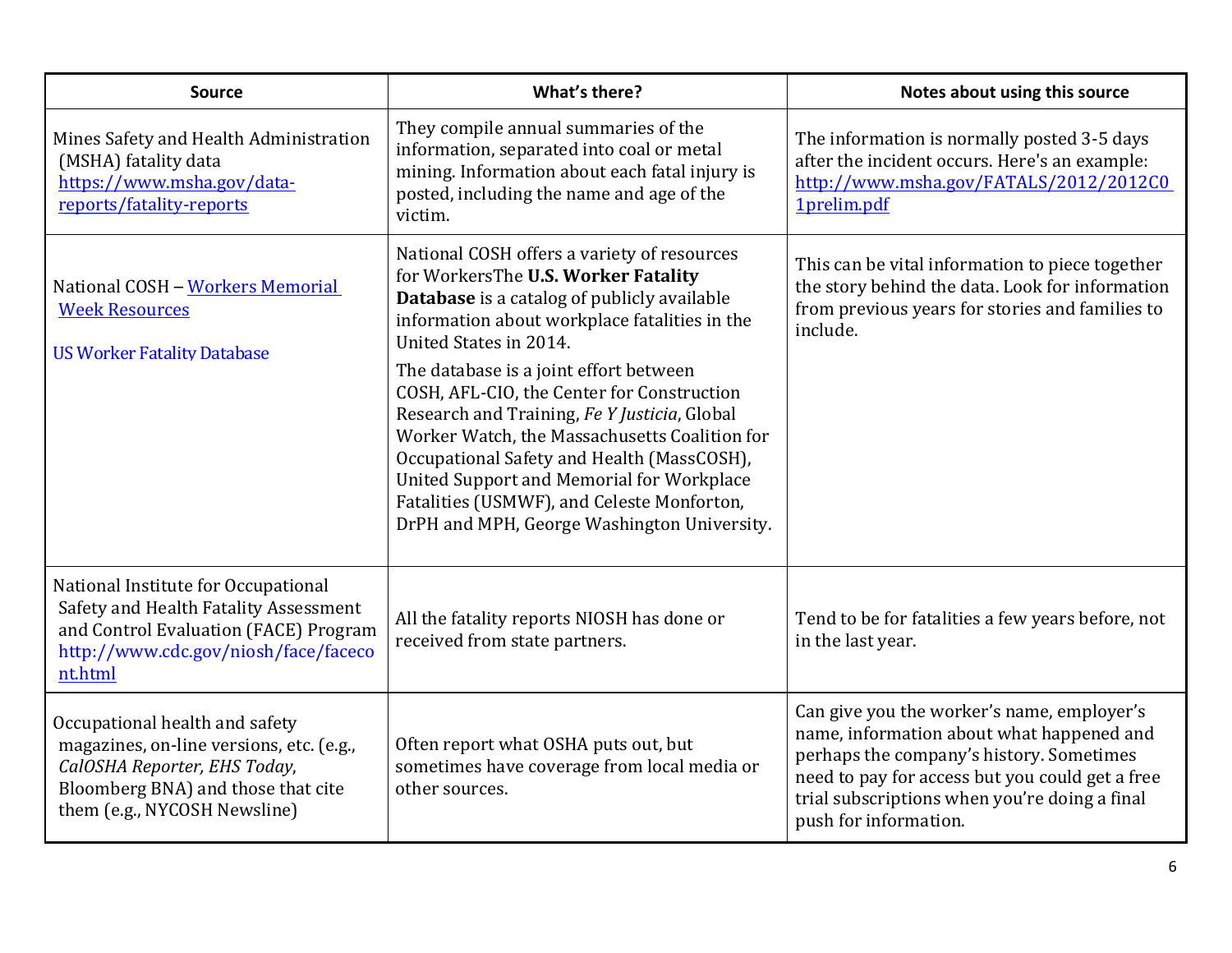| <b>Source</b>                                                                                                                                                                    | What's there?                                                                                                                                                                                                                                                                                                                                                                                                                                                                                                                                                                                        | Notes about using this source                                                                                                                                                                                                                                    |
|----------------------------------------------------------------------------------------------------------------------------------------------------------------------------------|------------------------------------------------------------------------------------------------------------------------------------------------------------------------------------------------------------------------------------------------------------------------------------------------------------------------------------------------------------------------------------------------------------------------------------------------------------------------------------------------------------------------------------------------------------------------------------------------------|------------------------------------------------------------------------------------------------------------------------------------------------------------------------------------------------------------------------------------------------------------------|
| Mines Safety and Health Administration<br>(MSHA) fatality data<br>https://www.msha.gov/data-<br>reports/fatality-reports                                                         | They compile annual summaries of the<br>information, separated into coal or metal<br>mining. Information about each fatal injury is<br>posted, including the name and age of the<br>victim.                                                                                                                                                                                                                                                                                                                                                                                                          | The information is normally posted 3-5 days<br>after the incident occurs. Here's an example:<br>http://www.msha.gov/FATALS/2012/2012C0<br>1prelim.pdf                                                                                                            |
| National COSH - Workers Memorial<br><b>Week Resources</b><br><b>US Worker Fatality Database</b>                                                                                  | National COSH offers a variety of resources<br>for WorkersThe U.S. Worker Fatality<br><b>Database</b> is a catalog of publicly available<br>information about workplace fatalities in the<br>United States in 2014.<br>The database is a joint effort between<br>COSH, AFL-CIO, the Center for Construction<br>Research and Training, Fe Y Justicia, Global<br>Worker Watch, the Massachusetts Coalition for<br>Occupational Safety and Health (MassCOSH),<br>United Support and Memorial for Workplace<br>Fatalities (USMWF), and Celeste Monforton,<br>DrPH and MPH, George Washington University. | This can be vital information to piece together<br>the story behind the data. Look for information<br>from previous years for stories and families to<br>include.                                                                                                |
| National Institute for Occupational<br>Safety and Health Fatality Assessment<br>and Control Evaluation (FACE) Program<br>http://www.cdc.gov/niosh/face/faceco<br>nt.html         | All the fatality reports NIOSH has done or<br>received from state partners.                                                                                                                                                                                                                                                                                                                                                                                                                                                                                                                          | Tend to be for fatalities a few years before, not<br>in the last year.                                                                                                                                                                                           |
| Occupational health and safety<br>magazines, on-line versions, etc. (e.g.,<br>CalOSHA Reporter, EHS Today,<br>Bloomberg BNA) and those that cite<br>them (e.g., NYCOSH Newsline) | Often report what OSHA puts out, but<br>sometimes have coverage from local media or<br>other sources.                                                                                                                                                                                                                                                                                                                                                                                                                                                                                                | Can give you the worker's name, employer's<br>name, information about what happened and<br>perhaps the company's history. Sometimes<br>need to pay for access but you could get a free<br>trial subscriptions when you're doing a final<br>push for information. |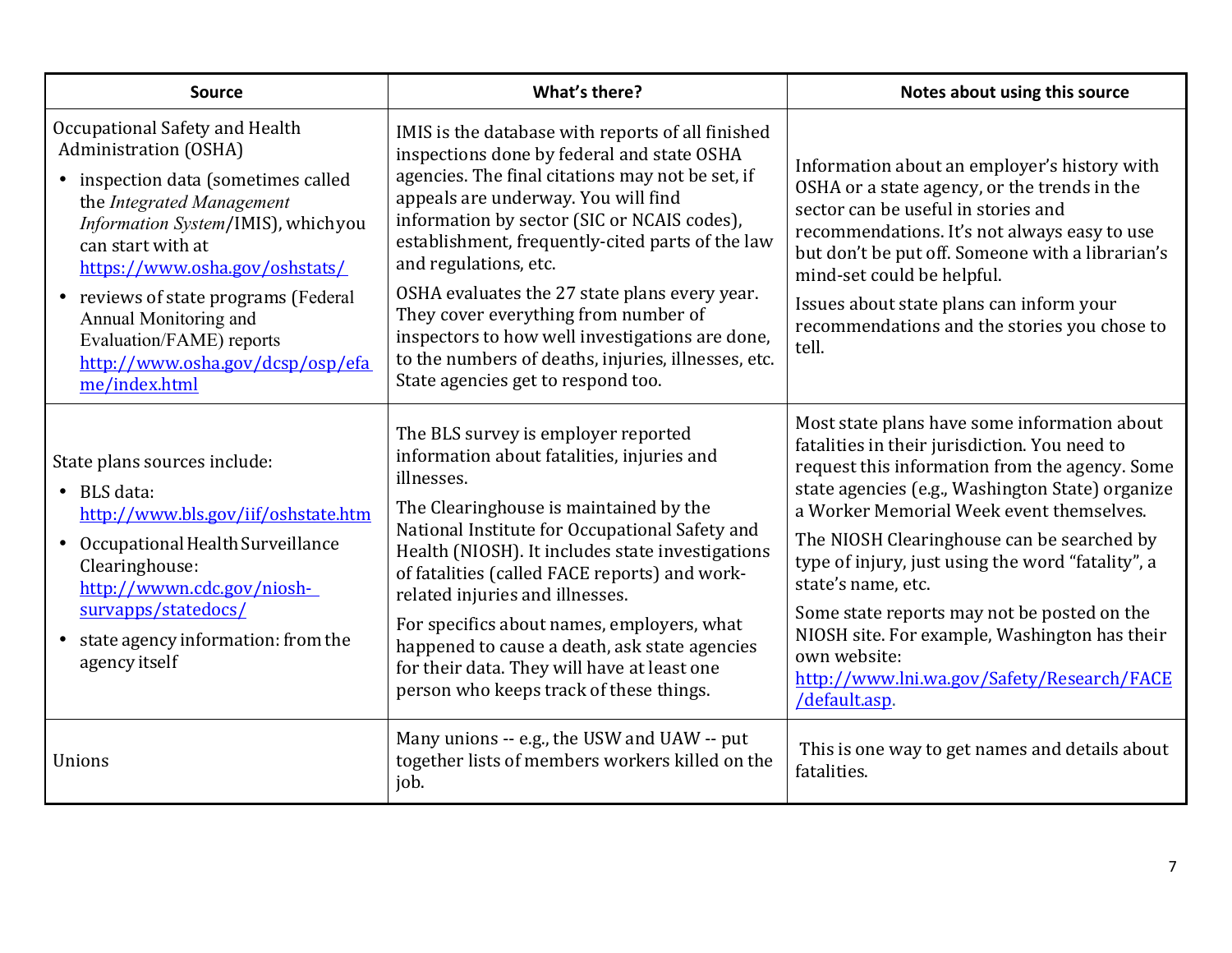| <b>Source</b>                                                                                                                                                                                                                                                                                                                                                                      | What's there?                                                                                                                                                                                                                                                                                                                                                                                                                                                                                                                                                   | Notes about using this source                                                                                                                                                                                                                                                                                                                                                                                                                                                                                                                           |
|------------------------------------------------------------------------------------------------------------------------------------------------------------------------------------------------------------------------------------------------------------------------------------------------------------------------------------------------------------------------------------|-----------------------------------------------------------------------------------------------------------------------------------------------------------------------------------------------------------------------------------------------------------------------------------------------------------------------------------------------------------------------------------------------------------------------------------------------------------------------------------------------------------------------------------------------------------------|---------------------------------------------------------------------------------------------------------------------------------------------------------------------------------------------------------------------------------------------------------------------------------------------------------------------------------------------------------------------------------------------------------------------------------------------------------------------------------------------------------------------------------------------------------|
| Occupational Safety and Health<br><b>Administration (OSHA)</b><br>• inspection data (sometimes called<br>the Integrated Management<br>Information System/IMIS), which you<br>can start with at<br>https://www.osha.gov/oshstats/<br>• reviews of state programs (Federal<br>Annual Monitoring and<br>Evaluation/FAME) reports<br>http://www.osha.gov/dcsp/osp/efa<br>me/index.html | IMIS is the database with reports of all finished<br>inspections done by federal and state OSHA<br>agencies. The final citations may not be set, if<br>appeals are underway. You will find<br>information by sector (SIC or NCAIS codes),<br>establishment, frequently-cited parts of the law<br>and regulations, etc.<br>OSHA evaluates the 27 state plans every year.<br>They cover everything from number of<br>inspectors to how well investigations are done,<br>to the numbers of deaths, injuries, illnesses, etc.<br>State agencies get to respond too. | Information about an employer's history with<br>OSHA or a state agency, or the trends in the<br>sector can be useful in stories and<br>recommendations. It's not always easy to use<br>but don't be put off. Someone with a librarian's<br>mind-set could be helpful.<br>Issues about state plans can inform your<br>recommendations and the stories you chose to<br>tell.                                                                                                                                                                              |
| State plans sources include:<br>• BLS data:<br>http://www.bls.gov/iif/oshstate.htm<br>• Occupational Health Surveillance<br>Clearinghouse:<br>http://wwwn.cdc.gov/niosh-<br>survapps/statedocs/<br>• state agency information: from the<br>agency itself                                                                                                                           | The BLS survey is employer reported<br>information about fatalities, injuries and<br>illnesses.<br>The Clearinghouse is maintained by the<br>National Institute for Occupational Safety and<br>Health (NIOSH). It includes state investigations<br>of fatalities (called FACE reports) and work-<br>related injuries and illnesses.<br>For specifics about names, employers, what<br>happened to cause a death, ask state agencies<br>for their data. They will have at least one<br>person who keeps track of these things.                                    | Most state plans have some information about<br>fatalities in their jurisdiction. You need to<br>request this information from the agency. Some<br>state agencies (e.g., Washington State) organize<br>a Worker Memorial Week event themselves.<br>The NIOSH Clearinghouse can be searched by<br>type of injury, just using the word "fatality", a<br>state's name, etc.<br>Some state reports may not be posted on the<br>NIOSH site. For example, Washington has their<br>own website:<br>http://www.lni.wa.gov/Safety/Research/FACE<br>/default.asp. |
| Unions                                                                                                                                                                                                                                                                                                                                                                             | Many unions -- e.g., the USW and UAW -- put<br>together lists of members workers killed on the<br>job.                                                                                                                                                                                                                                                                                                                                                                                                                                                          | This is one way to get names and details about<br>fatalities.                                                                                                                                                                                                                                                                                                                                                                                                                                                                                           |